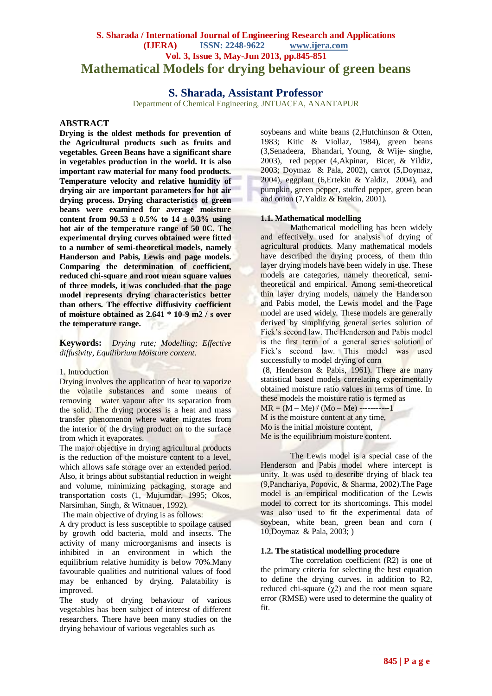# **S. Sharada / International Journal of Engineering Research and Applications (IJERA) ISSN: 2248-9622 www.ijera.com Vol. 3, Issue 3, May-Jun 2013, pp.845-851 Mathematical Models for drying behaviour of green beans**

## **S. Sharada, Assistant Professor**

Department of Chemical Engineering, JNTUACEA, ANANTAPUR

## **ABSTRACT**

**Drying is the oldest methods for prevention of the Agricultural products such as fruits and vegetables. Green Beans have a significant share in vegetables production in the world. It is also important raw material for many food products. Temperature velocity and relative humidity of drying air are important parameters for hot air drying process. Drying characteristics of green beans were examined for average moisture**  content from  $90.53 \pm 0.5\%$  to  $14 \pm 0.3\%$  using **hot air of the temperature range of 50 0C. The experimental drying curves obtained were fitted to a number of semi-theoretical models, namely Handerson and Pabis, Lewis and page models. Comparing the determination of coefficient, reduced chi-square and root mean square values of three models, it was concluded that the page model represents drying characteristics better than others. The effective diffusivity coefficient of moisture obtained as 2.641 \* 10-9 m2 / s over the temperature range.** 

**Keywords:** *Drying rate; Modelling; Effective diffusivity, Equilibrium Moisture content*.

#### 1. Introduction

Drying involves the application of heat to vaporize the volatile substances and some means of removing water vapour after its separation from the solid. The drying process is a heat and mass transfer phenomenon where water migrates from the interior of the drying product on to the surface from which it evaporates.

The major objective in drying agricultural products is the reduction of the moisture content to a level, which allows safe storage over an extended period. Also, it brings about substantial reduction in weight and volume, minimizing packaging, storage and transportation costs (1, Mujumdar, 1995; Okos, Narsimhan, Singh, & Witnauer, 1992).

The main objective of drying is as follows:

A dry product is less susceptible to spoilage caused by growth odd bacteria, mold and insects. The activity of many microorganisms and insects is inhibited in an environment in which the equilibrium relative humidity is below 70%.Many favourable qualities and nutritional values of food may be enhanced by drying. Palatability is improved.

The study of drying behaviour of various vegetables has been subject of interest of different researchers. There have been many studies on the drying behaviour of various vegetables such as

soybeans and white beans (2.Hutchinson & Otten, 1983; Kitic & Viollaz, 1984), green beans (3,Senadeera, Bhandari, Young, & Wije- singhe, 2003), red pepper (4,Akpinar, Bicer, & Yildiz, 2003; Doymaz & Pala, 2002), carrot (5,Doymaz, 2004), eggplant (6,Ertekin & Yaldiz, 2004), and pumpkin, green pepper, stuffed pepper, green bean and onion (7,Yaldiz & Ertekin, 2001).

#### **1.1. Mathematical modelling**

Mathematical modelling has been widely and effectively used for analysis of drying of agricultural products. Many mathematical models have described the drying process, of them thin layer drying models have been widely in use. These models are categories, namely theoretical, semitheoretical and empirical. Among semi-theoretical thin layer drying models, namely the Handerson and Pabis model, the Lewis model and the Page model are used widely. These models are generally derived by simplifying general series solution of Fick's second law. The Henderson and Pabis model is the first term of a general series solution of Fick's second law. This model was used successfully to model drying of corn

(8, Henderson & Pabis, 1961). There are many statistical based models correlating experimentally obtained moisture ratio values in terms of time. In these models the moisture ratio is termed as  $MR = (M - Me)/(Mo - Me)$  ----------1

M is the moisture content at any time, Mo is the initial moisture content,

Me is the equilibrium moisture content.

The Lewis model is a special case of the Henderson and Pabis model where intercept is unity. It was used to describe drying of black tea (9,Panchariya, Popovic, & Sharma, 2002).The Page model is an empirical modification of the Lewis model to correct for its shortcomings. This model was also used to fit the experimental data of soybean, white bean, green bean and corn ( 10,Doymaz & Pala, 2003; )

#### **1.2. The statistical modelling procedure**

The correlation coefficient (R2) is one of the primary criteria for selecting the best equation to define the drying curves. in addition to R2, reduced chi-square  $(\gamma 2)$  and the root mean square error (RMSE) were used to determine the quality of fit.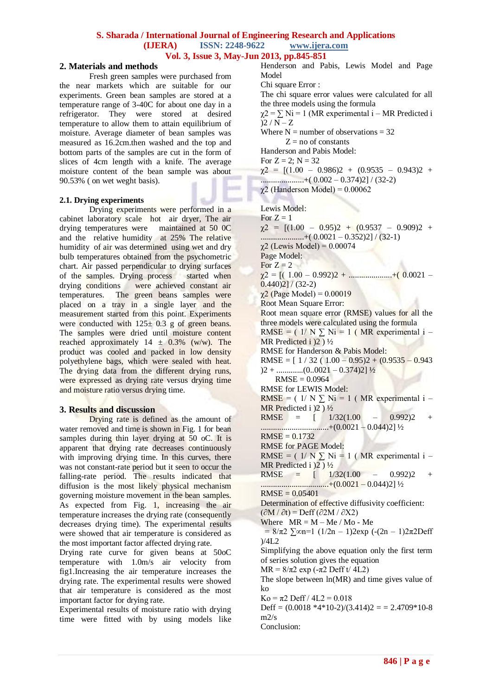#### **S. Sharada / International Journal of Engineering Research and Applications (IJERA) ISSN: 2248-9622 www.ijera.com Vol. 3, Issue 3, May-Jun 2013, pp.845-851**

#### **2. Materials and methods**

Fresh green samples were purchased from the near markets which are suitable for our experiments. Green bean samples are stored at a temperature range of 3-40C for about one day in a refrigerator. They were stored at desired temperature to allow them to attain equilibrium of moisture. Average diameter of bean samples was measured as 16.2cm.then washed and the top and bottom parts of the samples are cut in the form of slices of 4cm length with a knife. The average moisture content of the bean sample was about 90.53% ( on wet weght basis).

#### **2.1. Drying experiments**

Drying experiments were performed in a cabinet laboratory scale hot air dryer, The air drying temperatures were maintained at 50 0C and the relative humidity at 25% The relative humidity of air was determined using wet and dry bulb temperatures obtained from the psychometric chart. Air passed perpendicular to drying surfaces of the samples. Drying process started when drying conditions were achieved constant air temperatures. The green beans samples were placed on a tray in a single layer and the measurement started from this point. Experiments were conducted with  $125 \pm 0.3$  g of green beans. The samples were dried until moisture content reached approximately  $14 \pm 0.3\%$  (w/w). The product was cooled and packed in low density polyethylene bags, which were sealed with heat. The drying data from the different drying runs, were expressed as drying rate versus drying time and moisture ratio versus drying time.

#### **3. Results and discussion**

Drying rate is defined as the amount of water removed and time is shown in Fig. 1 for bean samples during thin layer drying at 50 oC. It is apparent that drying rate decreases continuously with improving drying time. In this curves, there was not constant-rate period but it seen to occur the falling-rate period. The results indicated that diffusion is the most likely physical mechanism governing moisture movement in the bean samples. As expected from Fig. 1, increasing the air temperature increases the drying rate (consequently decreases drying time). The experimental results were showed that air temperature is considered as the most important factor affected drying rate.

Drying rate curve for given beans at 50oC temperature with 1.0m/s air velocity from fig1.Increasing the air temperature increases the drying rate. The experimental results were showed that air temperature is considered as the most important factor for drying rate.

Experimental results of moisture ratio with drying time were fitted with by using models like

Henderson and Pabis, Lewis Model and Page Model Chi square Error :

The chi square error values were calculated for all the three models using the formula

 $\gamma$ 2 =  $\Sigma$  Ni = 1 (MR experimental i – MR Predicted i  $)2 / N - Z$ 

Where  $N =$  number of observations  $= 32$  $Z =$  no of constants

Handerson and Pabis Model:

For  $Z = 2$ ;  $N = 32$ 

 $\gamma$ 2 =  $[(1.00 - 0.986)2 + (0.9535 - 0.943)2 +$ .....................+( 0.002 – 0.374)2] / (32-2)

χ2 (Handerson Model) = 0.00062

Lewis Model:

For  $Z = 1$  $\gamma$ 2 =  $[(1.00 - 0.95)2 + (0.9537 - 0.909)2 +$  $\ldots$ .....................+( 0.0021 – 0.352)2] / (32-1) χ2 (Lewis Model) = 0.00074 Page Model: For  $Z = 2$  $\chi^2$  = [( 1.00 – 0.992)2 + .........................+( 0.0021 –  $0.440$ )<sup>2</sup>] / (32-2) χ2 (Page Model) = 0.00019 Root Mean Square Error: Root mean square error (RMSE) values for all the three models were calculated using the formula RMSE =  $(1/N)$  N i = 1 (MR experimental i – MR Predicted i  $(2)$   $\frac{1}{2}$ RMSE for Handerson & Pabis Model: RMSE =  $[1/32(1.00 - 0.95)2 + (0.9535 - 0.943$  $(0.0021 - 0.374)2$ ]  $\frac{1}{2}$  $RMSE = 0.0964$ RMSE for LEWIS Model: RMSE =  $(1/N)$  Ni = 1 (MR experimental i – MR Predicted i  $(2)$   $\frac{1}{2}$ RMSE =  $[1/32(1.00 - 0.992)2 +$ .................................+(0.0021 – 0.044)2] ½  $RMSE = 0.1732$ RMSE for PAGE Model: RMSE =  $(1/N \sum Ni = 1$  (MR experimental i – MR Predicted i  $2)$   $\frac{1}{2}$ RMSE =  $[1/32(1.00 - 0.992)2 +$ .................................+(0.0021 – 0.044)2] ½  $RMSE = 0.05401$ Determination of effective diffusivity coefficient:  $(\partial M / \partial t) = Deff(\partial 2M / \partial X2)$ Where  $MR = M - Me/Mo$  - Me  $= 8/π2$   $\sqrt{2}$   $\sqrt{2}$  = 1 (1/2n – 1)2exp (-(2n – 1)2π2Deff  $)/4L2$ Simplifying the above equation only the first term of series solution gives the equation MR =  $8/\pi^2$  exp ( $-\pi^2$  Deff t/ 4L2) The slope between ln(MR) and time gives value of  $k_0$  $Ko = \pi 2$  Deff /  $4L2 = 0.018$ Deff =  $(0.0018 *4*10-2)/(3.414)2 = 2.4709*10-8$  $m2/s$ Conclusion: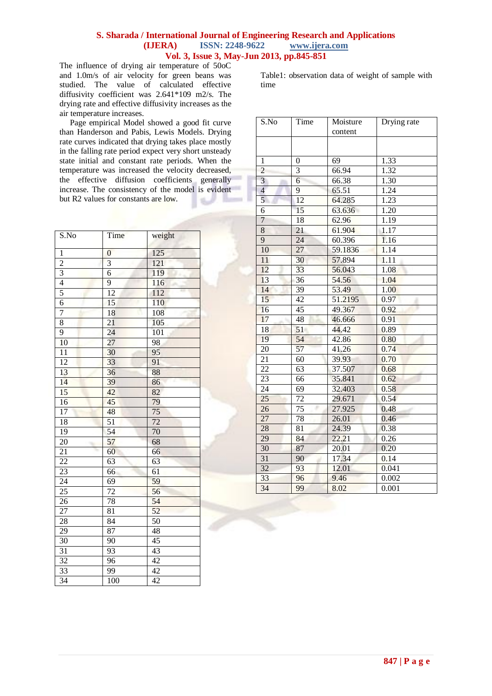## **S. Sharada / International Journal of Engineering Research and Applications (IJERA) ISSN: 2248-9622 www.ijera.com Vol. 3, Issue 3, May-Jun 2013, pp.845-851**

The influence of drying air temperature of 50oC and 1.0m/s of air velocity for green beans was studied. The value of calculated effective diffusivity coefficient was 2.641\*109 m2/s. The drying rate and effective diffusivity increases as the air temperature increases.

 Page empirical Model showed a good fit curve than Handerson and Pabis, Lewis Models. Drying rate curves indicated that drying takes place mostly in the falling rate period expect very short unsteady state initial and constant rate periods. When the temperature was increased the velocity decreased, the effective diffusion coefficients generally increase. The consistency of the model is evident but R2 values for constants are low.

| $\overline{\text{S}}$ .No | Time            | weight          |
|---------------------------|-----------------|-----------------|
| $\mathbf{1}$              | $\mathbf{0}$    | 125             |
| $\overline{2}$            | 3               | 121             |
| $\overline{3}$            | 6               | 119             |
| $\overline{4}$            | 9               | 116             |
| 5                         | 12              | 112             |
| $\overline{6}$            | 15              | 110             |
| 7                         | 18              | 108             |
| $\overline{8}$            | $\overline{21}$ | 105             |
| $\overline{9}$            | 24              | 101             |
| $\overline{10}$           | 27              | 98              |
| $\overline{11}$           | 30              | 95              |
| 12                        | 33              | 91              |
| 13                        | 36              | 88              |
| 14                        | 39              | 86<br>x         |
| $\overline{15}$           | 42              | 82              |
| $\overline{16}$           | 45              | 79              |
| $\overline{17}$           | 48              | $\overline{75}$ |
| $\overline{18}$           | $\overline{51}$ | $\overline{72}$ |
| 19                        | 54              | 70              |
| 20                        | 57              | 68              |
| 21                        | 60              | 66              |
| 22                        | 63              | 63              |
| $\overline{23}$           | 66              | 61              |
| $\overline{24}$           | 69              | 59              |
| $\overline{25}$           | 72              | 56              |
| 26                        | 78              | 54              |
| 27                        | 81              | 52              |
| 28                        | 84              | 50              |
| 29                        | 87              | 48              |
| 30                        | 90              | 45              |
| $\overline{31}$           | 93              | 43              |
| $\overline{32}$           | 96              | $\overline{42}$ |
| 33                        | 99              | 42              |
| 34                        | 100             | 42              |

Table1: observation data of weight of sample with time

| $\overline{S}$ .No      | Time            | Moisture<br>content | Drying rate |
|-------------------------|-----------------|---------------------|-------------|
|                         |                 |                     |             |
| $\mathbf{1}$            | $\overline{0}$  | 69                  | 1.33        |
| $\overline{c}$          | 3               | 66.94               | 1.32        |
| $\overline{\mathbf{3}}$ | 6               | 66.38               | 1.30        |
| $\overline{4}$          | 9               | 65.51               | 1.24        |
| 5                       | 12              | 64.285              | 1.23        |
| 6                       | 15              | 63.636              | 1.20        |
| $\overline{7}$          | 18              | 62.96               | 1.19        |
| 8                       | 21              | 61.904              | 1.17        |
| $\overline{9}$          | $\overline{24}$ | 60.396              | 1.16        |
| 10                      | 27              | 59.1836             | 1.14        |
| 11                      | 30              | 57.894              | 1.11        |
| 12                      | 33              | 56.043              | 1.08        |
| 13                      | $\overline{36}$ | 54.56               | 1.04        |
| 14                      | $\overline{39}$ | 53.49               | 1.00        |
| 15                      | $\overline{42}$ | 51.2195             | 0.97        |
| 16                      | 45              | 49.367              | 0.92        |
| 17                      | $\overline{48}$ | 46.666              | 0.91        |
| 18                      | $\overline{51}$ | 44.42               | 0.89        |
| 19                      | 54              | 42.86               | 0.80        |
| 20                      | 57              | 41.26               | 0.74        |
| $\overline{21}$         | 60              | 39.93               | 0.70        |
| $\overline{22}$         | 63              | 37.507              | 0.68        |
| $\overline{23}$         | 66              | 35.841              | 0.62        |
| 24                      | 69              | 32.403              | 0.58        |
| $\overline{25}$         | $\overline{72}$ | 29.671              | 0.54        |
| 26                      | $\overline{75}$ | 27.925              | 0.48        |
| 27                      | 78              | 26.01               | 0.46        |
| 28                      | 81              | 24.39               | 0.38        |
| 29                      | 84              | 22.21               | 0.26        |
| 30                      | 87              | 20.01               | 0.20        |
| $\overline{31}$         | 90              | 17.34               | 0.14        |
| $\overline{32}$         | 93              | 12.01               | 0.041       |
| 33                      | 96              | 9.46                | 0.002       |
| 34                      | 99              | 8.02                | 0.001       |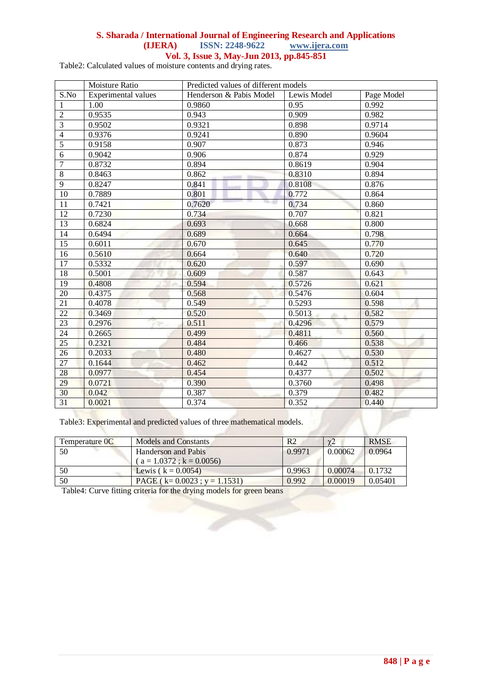# **S. Sharada / International Journal of Engineering Research and Applications**

**ISSN: 2248-9622** 

**Vol. 3, Issue 3, May-Jun 2013, pp.845-851**

Table2: Calculated values of moisture contents and drying rates.

|                  | Moisture Ratio      | Predicted values of different models |             |            |
|------------------|---------------------|--------------------------------------|-------------|------------|
| S.No             | Experimental values | Henderson & Pabis Model              | Lewis Model | Page Model |
| 1                | 1.00                | 0.9860                               | 0.95        | 0.992      |
| $\overline{2}$   | 0.9535              | 0.943                                | 0.909       | 0.982      |
| $\overline{3}$   | 0.9502              | 0.9321                               | 0.898       | 0.9714     |
| $\overline{4}$   | 0.9376              | 0.9241                               | 0.890       | 0.9604     |
| $\overline{5}$   | 0.9158              | 0.907                                | 0.873       | 0.946      |
| $\overline{6}$   | 0.9042              | 0.906                                | 0.874       | 0.929      |
| $\boldsymbol{7}$ | 0.8732              | 0.894                                | 0.8619      | 0.904      |
| $\overline{8}$   | 0.8463              | 0.862                                | 0.8310      | 0.894      |
| $\overline{9}$   | 0.8247              | 0.841                                | 0.8108      | 0.876      |
| $\overline{10}$  | 0.7889              | 0.801                                | 0.772       | 0.864      |
| 11               | 0.7421              | 0.7620                               | 0.734       | 0.860      |
| $\overline{12}$  | 0.7230              | 0.734                                | 0.707       | 0.821      |
| $\overline{13}$  | 0.6824              | 0.693                                | 0.668       | 0.800      |
| 14               | 0.6494              | 0.689                                | 0.664       | 0.798      |
| 15               | 0.6011              | 0.670                                | 0.645       | 0.770      |
| 16               | 0.5610              | 0.664                                | 0.640       | 0.720      |
| $\overline{17}$  | 0.5332              | 0.620                                | 0.597       | 0.690      |
| 18               | 0.5001              | 0.609                                | 0.587       | 0.643      |
| 19               | 0.4808              | 0.594                                | 0.5726      | 0.621      |
| $\overline{20}$  | 0.4375              | 0.568                                | 0.5476      | 0.604      |
| $\overline{21}$  | 0.4078              | 0.549                                | 0.5293      | 0.598      |
| $\overline{22}$  | 0.3469              | 0.520                                | 0.5013      | 0.582      |
| 23               | 0.2976              | 0.511                                | 0.4296      | 0.579      |
| $\overline{24}$  | 0.2665              | 0.499                                | 0.4811      | 0.560      |
| 25               | 0.2321              | 0.484                                | 0.466       | 0.538      |
| $\overline{26}$  | 0.2033              | 0.480                                | 0.4627      | 0.530      |
| $\overline{27}$  | 0.1644              | 0.462                                | 0.442       | 0.512      |
| 28               | 0.0977              | 0.454                                | 0.4377      | 0.502      |
| 29               | 0.0721              | 0.390                                | 0.3760      | 0.498      |
| $\overline{30}$  | 0.042               | 0.387                                | 0.379       | 0.482      |
| $\overline{31}$  | 0.0021              | 0.374                                | 0.352       | 0.440      |

Table3: Experimental and predicted values of three mathematical models.

| Temperature OC | <b>Models and Constants</b>          | R2     | $\chi$ <sup>2</sup> | <b>RMSE</b> |
|----------------|--------------------------------------|--------|---------------------|-------------|
| 50             | Handerson and Pabis                  | 0.9971 | 0.00062             | 0.0964      |
|                | $(a = 1.0372$ ; k = 0.0056)          |        |                     |             |
| 50             | Lewis $(k = 0.0054)$                 | 0.9963 | 0.00074             | 0.1732      |
| 50             | PAGE ( $k = 0.0023$ ; $y = 1.1531$ ) | 0.992  | 0.00019             | 0.05401     |
| $-$<br>____    | .                                    |        |                     |             |

Table4: Curve fitting criteria for the drying models for green beans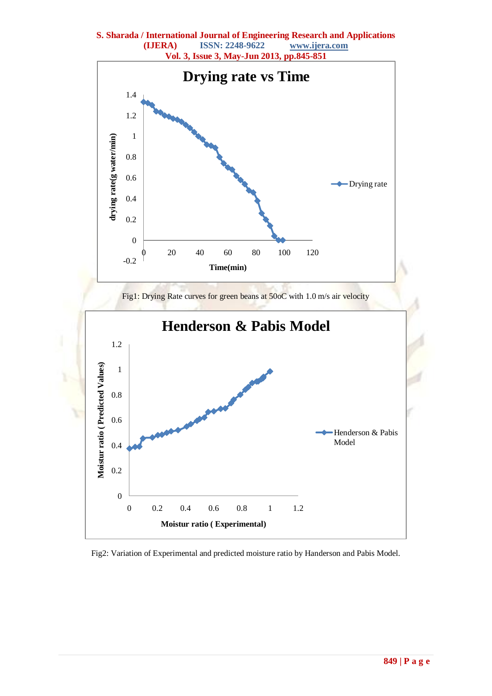**S. Sharada / International Journal of Engineering Research and Applications (IJERA) ISSN: 2248-9622 www.ijera.com**



Fig2: Variation of Experimental and predicted moisture ratio by Handerson and Pabis Model.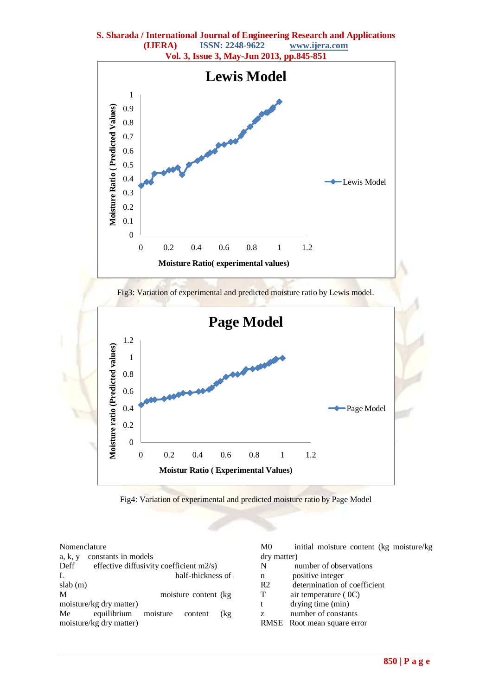**S. Sharada / International Journal of Engineering Research and Applications (IJERA) ISSN: 2248-9622 www.ijera.com**





|       |  | Nomenclature |
|-------|--|--------------|
| a k v |  | – constai    |

| constants in models |                                                                                                                       |
|---------------------|-----------------------------------------------------------------------------------------------------------------------|
|                     |                                                                                                                       |
|                     |                                                                                                                       |
|                     |                                                                                                                       |
|                     |                                                                                                                       |
|                     |                                                                                                                       |
|                     | (kg                                                                                                                   |
|                     |                                                                                                                       |
|                     | effective diffusivity coefficient m2/s)<br>half-thickness of<br>moisture content (kg)<br>equilibrium moisture content |

| M0             | initial moisture content (kg moisture/kg) |
|----------------|-------------------------------------------|
| dry matter)    |                                           |
| N              | number of observations                    |
| n              | positive integer                          |
| R <sub>2</sub> | determination of coefficient              |
| т              | air temperature $(0C)$                    |
|                | drying time (min)                         |

- z number of constants
- RMSE Root mean square error